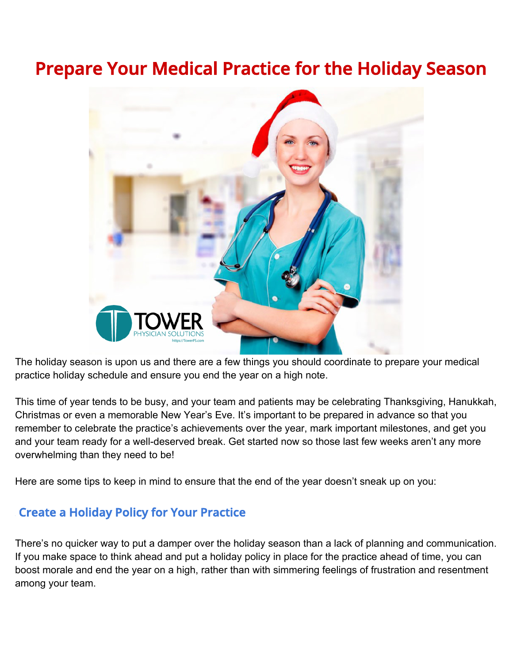# **Prepare Your Medical Practice for the Holiday Season**



The holiday season is upon us and there are a few things you should coordinate to prepare your medical practice holiday schedule and ensure you end the year on a high note.

This time of year tends to be busy, and your team and patients may be celebrating Thanksgiving, Hanukkah, Christmas or even a memorable New Year's Eve. It's important to be prepared in advance so that you remember to celebrate the practice's achievements over the year, mark important milestones, and get you and your team ready for a well-deserved break. Get started now so those last few weeks aren't any more overwhelming than they need to be!

Here are some tips to keep in mind to ensure that the end of the year doesn't sneak up on you:

## **1. Create a Holiday Policy for Your Practice**

There's no quicker way to put a damper over the holiday season than a lack of planning and communication. If you make space to think ahead and put a holiday policy in place for the practice ahead of time, you can boost morale and end the year on a high, rather than with simmering feelings of frustration and resentment among your team.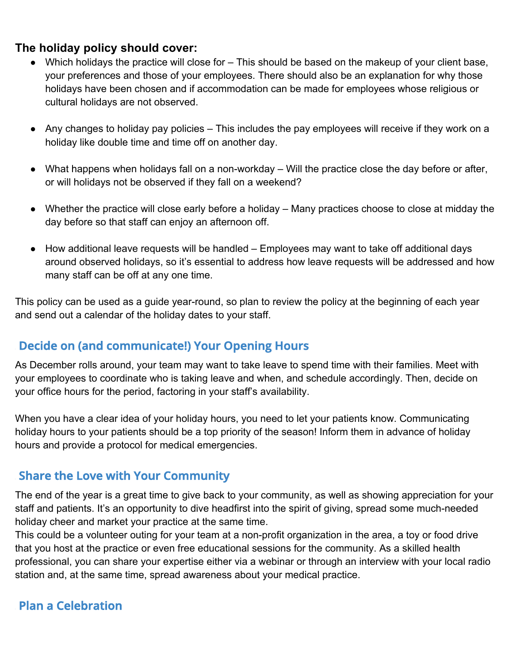### **The holiday policy should cover:**

- Which holidays the practice will close for This should be based on the makeup of your client base, your preferences and those of your employees. There should also be an explanation for why those holidays have been chosen and if accommodation can be made for employees whose religious or cultural holidays are not observed.
- Any changes to holiday pay policies This includes the pay employees will receive if they work on a holiday like double time and time off on another day.
- What happens when holidays fall on a non-workday Will the practice close the day before or after, or will holidays not be observed if they fall on a weekend?
- Whether the practice will close early before a holiday Many practices choose to close at midday the day before so that staff can enjoy an afternoon off.
- How additional leave requests will be handled Employees may want to take off additional days around observed holidays, so it's essential to address how leave requests will be addressed and how many staff can be off at any one time.

This policy can be used as a guide year-round, so plan to review the policy at the beginning of each year and send out a calendar of the holiday dates to your staff.

## **2. Decide on (and communicate!) Your Opening Hours**

As December rolls around, your team may want to take leave to spend time with their families. Meet with your employees to coordinate who is taking leave and when, and schedule accordingly. Then, decide on your office hours for the period, factoring in your staff's availability.

When you have a clear idea of your holiday hours, you need to let your patients know. Communicating holiday hours to your patients should be a top priority of the season! Inform them in advance of holiday hours and provide a protocol for medical emergencies.

### **5. Share the Love with Your Community**

The end of the year is a great time to give back to your community, as well as showing appreciation for your staff and patients. It's an opportunity to dive headfirst into the spirit of giving, spread some much-needed holiday cheer and market your practice at the same time.

This could be a volunteer outing for your team at a non-profit organization in the area, a toy or food drive that you host at the practice or even free educational sessions for the community. As a skilled health professional, you can share your expertise either via a webinar or through an interview with your local radio station and, at the same time, spread awareness about your medical practice.

## **6. Plan a Celebration**